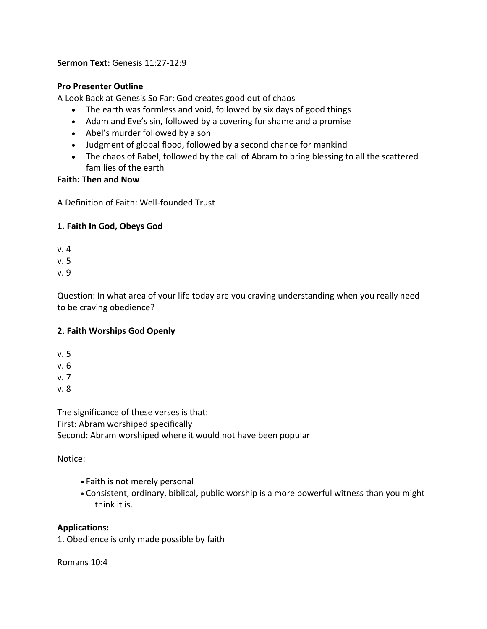**Sermon Text:** Genesis 11:27-12:9

#### **Pro Presenter Outline**

A Look Back at Genesis So Far: God creates good out of chaos

- The earth was formless and void, followed by six days of good things
- Adam and Eve's sin, followed by a covering for shame and a promise
- Abel's murder followed by a son
- Judgment of global flood, followed by a second chance for mankind
- The chaos of Babel, followed by the call of Abram to bring blessing to all the scattered families of the earth

#### **Faith: Then and Now**

A Definition of Faith: Well-founded Trust

# **1. Faith In God, Obeys God**

- v. 4
- v. 5

v. 9

Question: In what area of your life today are you craving understanding when you really need to be craving obedience?

# **2. Faith Worships God Openly**

v. 5

v. 6

v. 7

v. 8

The significance of these verses is that: First: Abram worshiped specifically Second: Abram worshiped where it would not have been popular

# Notice:

- Faith is not merely personal
- Consistent, ordinary, biblical, public worship is a more powerful witness than you might think it is.

# **Applications:**

1. Obedience is only made possible by faith

#### Romans 10:4